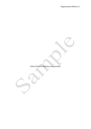Ethical Decision Making in Organization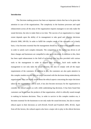# **Introduction**

The Decision making process has been an important criteria that has to be given due attention in case of the organizations. The complexity in the business processes and rapid enhancement across all the areas of the organization requires managers to not only make the sound decision, but also to make them at no time. The success of an organization to a larger extent depends upon the ability of its management to take good and effective decisions (Kinicki 2008, 249-50). In order to fulfill the complex needs of the customers on a timely basis, it has becomes essential that the management should try to adopt every possible means in order to satisfy such complex demands. The competition in the market has driven to all these changes and businesses are compelled to take quick decisions. In addition to this, there has been rapid enhancement in the field of technology that has also provided with various tools to the management in order to support their decisions. Such tools enable the management to not only takes the sound decision, but also to comply with all the major requirements of the customers. In addition to this, the customers are also quite attentive in this complex modern era and they are more concerned with the decisions being undertaken by organizations. They are highly aware about the ethical aspects concerning the major decisions taken by the organizations and as such, it has also become necessary for the organization to consider the ethical aspects as well, while undertaking big decisions. It has been found that customers use to purchase the products of that organization, which is ethically sound enough in making its business decisions. Thus, in order to survive in this complex modern era, it becomes essential for the businesses to not only make the sound decisions, but also to ensure ethical aspect in their decisions as well (Ferrell, Ferrell and Fraedrich 2005, 40-42). Apart from all this factors, the cultural aspects also have a major role to play in the ethical decision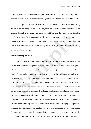making process. As the companies are globalizing their activities, they are facing a totally different culture, which also affects their ability to take ethical decisions (Srnka 2004, 1-32).

This paper is basically concerned with a brief discussion on the decision making processes that are being followed in the organizations, in order to effectively meet out the complex demands of the modern customers. In addition to this, the paper will also include a brief discussion on the ways through which managers can transform these decisions into a more ethical one in the context of contemporary organizations. Finally, the paper concludes with a brief conclusion on the major findings from the analysis about the decision making processes in the given paper.

### **Decision Making Processes**

Decision making is an important perspective that persists in case of almost all the organization whether it is big or small organization. It becomes essential for the managers to take decisions in order to conduct the activities of the organization in the most efficient manner. Managers in the organization are best referred to as the decision makers and as such, the success or the failure of the organization to a larger extent depends upon its decision makers. Good decision by managers would lead to overall success and a bad one would lead to the failure of the organization. This implies that decision making is quite crucial for the success of the business organization. Decision making is usually done in case of a complex changing environment which comprises of constantly changing factors. As a result, best managers of the successful companies sometimes make blunder while taking important decision for the entire organization. As the business environment is changing at a rapid pace, managers in organizations are dealing with a higher percentage of non programmed decisions. This implies that the complex decision making environment have increased the difficulties in the decision making process and as such, there is a need for a new decision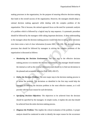making processes in the organization, for the purpose of ensuring effective decision making that leads to the overall success of the organization. However, the managers should adopt a rational decision making approach while dealing with the complex problem of the organization. This is because, the rational approach focus on the need for systematic analysis of a problem which is followed by a logical step by step sequence. A systematic procedure should be followed by the managers while taking important decisions. A deep understanding to the managers about the decision making process would help him in taking better decisions even there exists a lack of clear information (Lozano 2001, 126-128). The decision making processes that should be followed by managers in solving the complex problems of the organization is discussed as follows:

- *Monitoring the Decision Environment:* The first step in the effective decision making process is to monitor the decision environment. The manager should monitor the internal as well as the external information and should try to find out deviations in the planned and acceptable behavior (Daft 2009, 450-57).
- *Define the Decision Problem:* The next major step in the decision making process is to define the problem. The deviations as identified in the first step would help the managers in defining the decision problem in the most effective manner, as it will provide with the exact reason for such deviations.
- *Specifying Decision Objectives:* The objectives to be achieved from the decision should be specified by the managers. In simple words, it implies the aim that should be achieved from the entire decision making process.
- *Diagnose the Problem:* This implies the critical evaluation of the problem. A proper analysis should be conducted in order to identify the major reason for the occurrence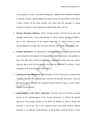of the problem. In order to facilitate the diagnosis, additional data should be collected if required. A proper understanding of the major reason for the problem would lead to a better solution of the entire problem and would help the managers in taking decisions in future in a more appropriate manner (Daft 2009, 450-57).

- *Develop Alternative Solutions:* Before moving towards a decisive action plan, the manager should have a clear understanding of various options that are available to him in the achievement of the desired objectives. In order to have a better understanding, the manager may seek ideas from the other people of the organization.
- *Evaluate Alternatives:* The alternatives as identified in the above mentioned step need to be evaluated for the purpose of making the best possible decision to the problem in hand. The ideas from different people in the organization would result into various solutions and as such, the best possible one has to be identified by making a critical evaluation of all such ideas (Daft 2009, 450-57).
- *Choosing the Best Alternatives:* The evaluation of all the alternatives would provide with the solution of the given problem with the best possible alternatives. Thus the alternatives that seem to be best among the others should be chosen, so that a better decision can be possible.
- *Implementation of the Chosen Alternatives:* The final step in the decision making process is the implementation of the chosen alternatives to achieve the desired objectives. The manager should use his skills and abilities in order to ensure that decision is carried out. This is the important step of the entire decision making processes as an improper implementation of the decision would result into a failed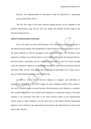decision. The implementation of alternatives would be followed by a monitoring process (Daft 2009, 450-57).

The first four stage of the entire decision making process can be regarded as the problem identification stage and the next four implies the problem solution stage of the decision making process.

### **Ethical Transformation of Decisions**

One of the major area that needs attention in the current decision making process is the ethical decision making. The management of ethical behavior in the organization is one of the major problems as faced by managers in the organizations today. The decisions of the employees to behave in an ethical manner or not is highly influence by the situational factors. Decision history, personality and the managerial philosophy are the few factors through which the employee's behavior can be changed towards the more ethical one (Stead, Edward and Stead 1990, 233-42). This implies that the managerial philosophy have a major role to play in transforming the decisions into an ethical one.

In order to ensure ethical decision making by managers and individuals in organization, Thomas M Jones (1991) suggest an issue contingent models which contains a new set of variables known as moral intensity. Moral intensity can be defined as a construct that considers the extent of issue related moral imperative to a particular situation. The moral intensity is not concerned with traits of the moral decision makers or the organizational culture, rather its major emphasis is on the moral issue, so that ethical decision making and behavior can be ensured in the organization by focusing on the characteristics of moral issue (Jones 1991, 366-95).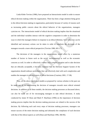Linda Klebe Trevino (1986), have proposed an Interactionist model in order to ensure ethical decision making within the organization. There has been a huge attention being given to the ethical decision making in organization, particularly because of variety of reasons such as increasing public concern about the ethical behavior of the organizations, managers cynicism etc. The interactionist model of ethical decision making implies that the situational and the individual variables interact with the cognitive component in order to determine the ways in which the managers behave in response to an ethical dilemma. Such behaviors can be identified and necessary actions can be taken in order to transform the decisions of the managers towards a more ethical perspective (Trevino 1986, 601-17).

The decisions of the managers in the organizations would affect by a numerous number of factors in future such as the social, environmental as well as the economic concerns as well. In order to effectively combat such complex situation and to take decision that are ethically acceptable, it becomes essential that the Decision Support System of the organization should embrace procedures that can effectively deal with such complexities and enables the managers in taking a more of ethical decisions (Courtney 2001, 17-38).

Thus, all the above mentioned models as proposed by various scholars in the past can be made use of, in transforming the decision of managers towards more ethical oriented decisions. In addition to all these models, the decision making processes as discussed above, can also be made use of for encouraging managers to take ethical decisions. A study conducted by James W Dean and Mark P. Sharfman (1996) on the importance of decision making process implies that the decision making processes are related to the success of the decision. By following each and every steps of decision making processes, managers can ensure success of the entire decision making and ultimately the compliance of such decision with that of the ethical aspects as well (Dean and Sharfman 1996, 368-96).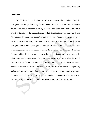# **Conclusion**

A brief discussion on the decision making processes and the ethical aspects of the managerial decision provides a significant learning about its importance in the complex business environment. The decision making has been a crucial aspect that leads to the success as well as the failure of the organizations. As such, it should be taken with great care. A brief discussion on the various decision making processes implies that there are various stages in the entire decision making process and proper compliance of all such processes by the managers would enable the managers to take better decisions. In addition to this, there is an increasing pressure on the managers to ensure the compliance of ethical aspects in their decision making. The increasing awareness about the environmental concern among the public have been the major reason driving the managers to take ethical decisions. As such, it becomes essential that the decisions of the managers should be transformed towards a more ethical decision and this could be possible with the help of various models as proposed by various scholars such as interactionist model, moral intensity, decision support systems etc. In addition to this, the decision making processes would also help in achieving success in the decision making process and ultimately in ensuring a more ethical decision as well.